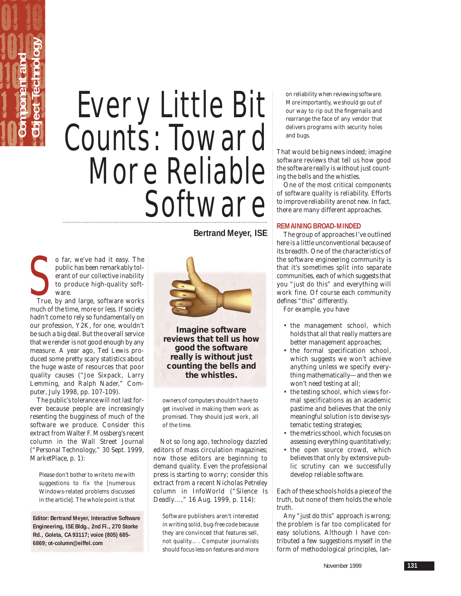# Every Little Bit Counts: Toward More Reliable **Software**

S<sub>True</sub> o far, we've had it easy. The public has been remarkably tolerant of our collective inability to produce high-quality software.

**Component and** 

**Object Technology**

True, by and large, software works much of the time, more or less. If society hadn't come to rely so fundamentally on our profession, Y2K, for one, wouldn't be such a big deal. But the overall service that we render is not good enough by any measure. A year ago, Ted Lewis produced some pretty scary statistics about the huge waste of resources that poor quality causes ("Joe Sixpack, Larry Lemming, and Ralph Nader," *Computer*, July 1998, pp. 107-109).

The public's tolerance will not last forever because people are increasingly resenting the bugginess of much of the software we produce. Consider this extract from Walter F. Mossberg's recent column in the *Wall Street Journal* ("Personal Technology," 30 Sept. 1999, MarketPlace, p. 1):

Please don't bother to write to me with suggestions to fix the [numerous Windows-related problems discussed in the article]. The whole point is that

**Editor: Bertrand Meyer, Interactive Software Engineering, ISE Bldg., 2nd Fl., 270 Storke Rd., Goleta, CA 93117; voice (805) 685- 6869; ot-column@eiffel.com**

**Bertrand Meyer, ISE**



**Imagine software reviews that tell us how good the software really is without just counting the bells and the whistles.**

owners of computers shouldn't have to get involved in making them work as promised. They should just work, all of the time.

Not so long ago, technology dazzled editors of mass circulation magazines; now those editors are beginning to demand quality. Even the professional press is starting to worry; consider this extract from a recent Nicholas Petreley column in *InfoWorld* ("Silence Is Deadly…," 16 Aug. 1999, p. 114):

Software publishers aren't interested in writing solid, bug-free code because they are convinced that features sell, not quality... . Computer journalists should focus less on features and more

on reliability when reviewing software. More importantly, we should go out of our way to rip out the fingernails and rearrange the face of any vendor that delivers programs with security holes and bugs.

That would be big news indeed; imagine software reviews that tell us how good the software really is without just counting the bells and the whistles.

One of the most critical components of software quality is reliability. Efforts to improve reliability are not new. In fact, there are many different approaches.

# **REMAINING BROAD-MINDED**

The group of approaches I've outlined here is a little unconventional because of its breadth. One of the characteristics of the software engineering community is that it's sometimes split into separate communities, each of which suggests that you "just do this" and everything will work fine. Of course each community defines "this" differently.

For example, you have

- the management school, which holds that all that really matters are better management approaches;
- the formal specification school, which suggests we won't achieve anything unless we specify everything mathematically—and then we won't need testing at all;
- the testing school, which views formal specifications as an academic pastime and believes that the only meaningful solution is to devise systematic testing strategies;
- the metrics school, which focuses on assessing everything quantitatively;
- the open source crowd, which believes that only by extensive public scrutiny can we successfully develop reliable software.

Each of these schools holds a piece of the truth, but none of them holds the whole truth.

Any "just do this" approach is wrong; the problem is far too complicated for easy solutions. Although I have contributed a few suggestions myself in the form of methodological principles, lan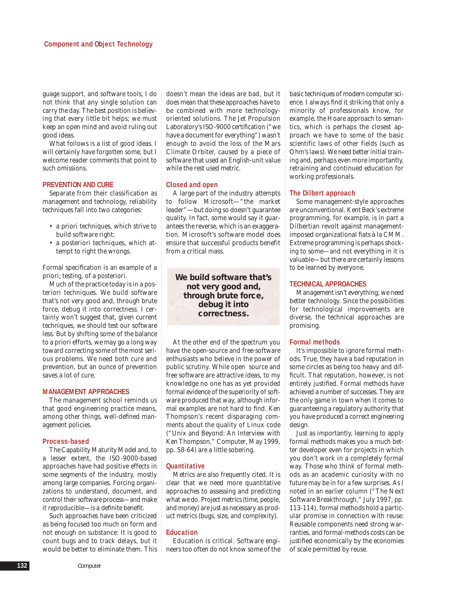guage support, and software tools, I do not think that any single solution can carry the day. The best position is believing that every little bit helps; we must keep an open mind and avoid ruling out good ideas.

What follows is a list of good ideas. I will certainly have forgotten some, but I welcome reader comments that point to such omissions.

#### **PREVENTION AND CURE**

Separate from their classification as management and technology, reliability techniques fall into two categories:

- a priori techniques, which strive to build software right;
- a posteriori techniques, which attempt to right the wrongs.

Formal specification is an example of a priori; testing, of a posteriori.

Much of the practice today is in a posteriori techniques. We build software that's not very good and, through brute force, debug it into correctness. I certainly won't suggest that, given current techniques, we should test our software less. But by shifting some of the balance to a priori efforts, we may go a long way toward correcting some of the most serious problems. We need both cure and prevention, but an ounce of prevention saves a lot of cure.

# **MANAGEMENT APPROACHES**

The management school reminds us that good engineering practice means, among other things, well-defined management policies.

#### **Process-based**

The Capability Maturity Model and, to a lesser extent, the ISO-9000-based approaches have had positive effects in some segments of the industry, mostly among large companies. Forcing organizations to understand, document, and control their software process—and make it reproducible—is a definite benefit.

Such approaches have been criticized as being focused too much on form and not enough on substance: It is good to count bugs and to track delays, but it

doesn't mean the ideas are bad, but it does mean that these approaches have to be combined with more technologyoriented solutions. The Jet Propulsion Laboratory's ISO-9000 certification ("we have a document for everything") wasn't enough to avoid the loss of the Mars Climate Orbiter, caused by a piece of software that used an English-unit value while the rest used metric.

# **Closed and open**

A large part of the industry attempts to follow Microsoft—"the market leader"—but doing so doesn't guarantee quality. In fact, some would say it guarantees the reverse, which is an exaggeration. Microsoft's software model does ensure that successful products benefit from a critical mass.

# **We build software that's not very good and, through brute force, debug it into correctness.**

At the other end of the spectrum you have the open-source and free-software enthusiasts who believe in the power of public scrutiny. While open source and free software are attractive ideas, to my knowledge no one has as yet provided formal evidence of the superiority of software produced that way, although informal examples are not hard to find. Ken Thompson's recent disparaging comments about the quality of Linux code ("Unix and Beyond: An Interview with Ken Thompson," *Computer*, May 1999, pp. 58-64) are a little sobering.

#### **Quantitative**

Metrics are also frequently cited. It is clear that we need more quantitative approaches to assessing and predicting what we do. Project metrics (time, people, and money) are just as necessary as product metrics (bugs, size, and complexity).

# **Education**

would be better to eliminate them. This neers too often do not know some of the Education is critical. Software engibasic techniques of modern computer science. I always find it striking that only a minority of professionals know, for example, the Hoare approach to semantics, which is perhaps the closest approach we have to some of the basic scientific laws of other fields (such as Ohm's laws). We need better initial training and, perhaps even more importantly, retraining and continued education for working professionals.

### **The Dilbert approach**

Some management-style approaches are unconventional. Kent Beck's extreme programming, for example, is in part a Dilbertian revolt against managementimposed organizational fiats à la CMM. Extreme programming is perhaps shocking to some—and not everything in it is valuable—but there are certainly lessons to be learned by everyone.

### **TECHNICAL APPROACHES**

Management isn't everything; we need better technology. Since the possibilities for technological improvements are diverse, the technical approaches are promising.

#### **Formal methods**

It's impossible to ignore formal methods. True, they have a bad reputation in some circles as being too heavy and difficult. That reputation, however, is not entirely justified. Formal methods have achieved a number of successes. They are the only game in town when it comes to guaranteeing a regulatory authority that you have produced a correct engineering design.

Just as importantly, learning to apply formal methods makes you a much better developer even for projects in which you don't work in a completely formal way. Those who think of formal methods as an academic curiosity with no future may be in for a few surprises. As I noted in an earlier column ("The Next Software Breakthrough," July 1997, pp. 113-114), formal methods hold a particular promise in connection with reuse: Reusable components need strong warranties, and formal-methods costs can be justified economically by the economies of scale permitted by reuse.